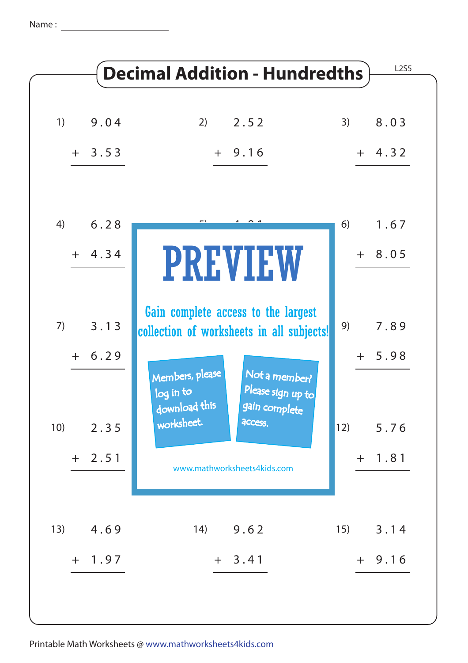